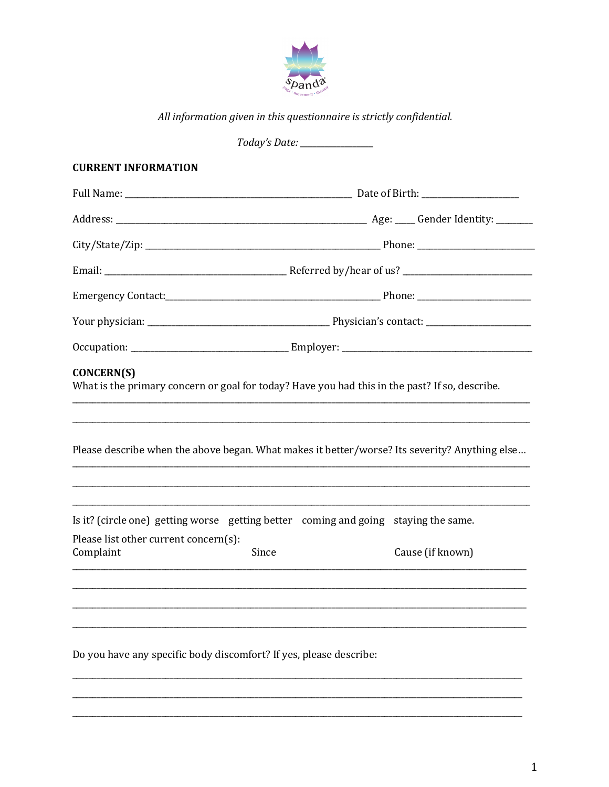

All information given in this questionnaire is strictly confidential.

Today's Date: \_\_\_\_\_\_\_\_\_\_\_\_\_\_

# **CURRENT INFORMATION**

| <b>CONCERN(S)</b>                                  | What is the primary concern or goal for today? Have you had this in the past? If so, describe. |                  |  |
|----------------------------------------------------|------------------------------------------------------------------------------------------------|------------------|--|
|                                                    | Please describe when the above began. What makes it better/worse? Its severity? Anything else  |                  |  |
|                                                    | Is it? (circle one) getting worse getting better coming and going staying the same.            |                  |  |
| Please list other current concern(s):<br>Complaint | Since                                                                                          | Cause (if known) |  |
|                                                    |                                                                                                |                  |  |
|                                                    | Do you have any specific body discomfort? If yes, please describe:                             |                  |  |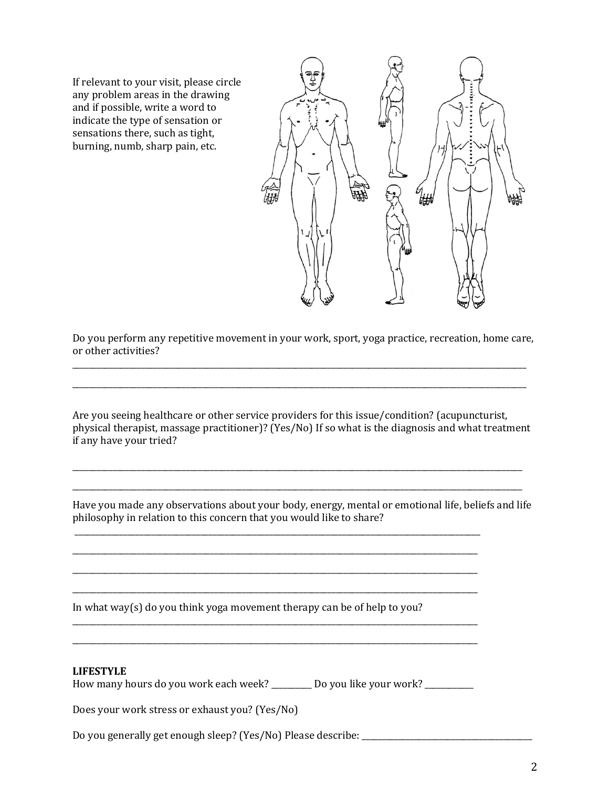If relevant to your visit, please circle any problem areas in the drawing and if possible, write a word to indicate the type of sensation or sensations there, such as tight, burning, numb, sharp pain, etc.



Do you perform any repetitive movement in your work, sport, yoga practice, recreation, home care, or other activities?

\_\_\_\_\_\_\_\_\_\_\_\_\_\_\_\_\_\_\_\_\_\_\_\_\_\_\_\_\_\_\_\_\_\_\_\_\_\_\_\_\_\_\_\_\_\_\_\_\_\_\_\_\_\_\_\_\_\_\_\_\_\_\_\_\_\_\_\_\_\_\_\_\_\_\_\_\_\_\_\_\_\_\_\_\_\_\_\_\_\_\_\_\_\_\_\_\_\_\_\_\_\_\_\_\_\_\_\_\_\_\_\_ \_\_\_\_\_\_\_\_\_\_\_\_\_\_\_\_\_\_\_\_\_\_\_\_\_\_\_\_\_\_\_\_\_\_\_\_\_\_\_\_\_\_\_\_\_\_\_\_\_\_\_\_\_\_\_\_\_\_\_\_\_\_\_\_\_\_\_\_\_\_\_\_\_\_\_\_\_\_\_\_\_\_\_\_\_\_\_\_\_\_\_\_\_\_\_\_\_\_\_\_\_\_\_\_\_\_\_\_\_\_\_\_

Are you seeing healthcare or other service providers for this issue/condition? (acupuncturist, physical therapist, massage practitioner)? (Yes/No) If so what is the diagnosis and what treatment if any have your tried?

\_\_\_\_\_\_\_\_\_\_\_\_\_\_\_\_\_\_\_\_\_\_\_\_\_\_\_\_\_\_\_\_\_\_\_\_\_\_\_\_\_\_\_\_\_\_\_\_\_\_\_\_\_\_\_\_\_\_\_\_\_\_\_\_\_\_\_\_\_\_\_\_\_\_\_\_\_\_\_\_\_\_\_\_\_\_\_\_\_\_\_\_\_\_\_\_\_\_\_\_\_\_\_\_\_\_\_\_\_\_\_ \_\_\_\_\_\_\_\_\_\_\_\_\_\_\_\_\_\_\_\_\_\_\_\_\_\_\_\_\_\_\_\_\_\_\_\_\_\_\_\_\_\_\_\_\_\_\_\_\_\_\_\_\_\_\_\_\_\_\_\_\_\_\_\_\_\_\_\_\_\_\_\_\_\_\_\_\_\_\_\_\_\_\_\_\_\_\_\_\_\_\_\_\_\_\_\_\_\_\_\_\_\_\_\_\_\_\_\_\_\_\_

Have you made any observations about your body, energy, mental or emotional life, beliefs and life philosophy in relation to this concern that you would like to share?

\_\_\_\_\_\_\_\_\_\_\_\_\_\_\_\_\_\_\_\_\_\_\_\_\_\_\_\_\_\_\_\_\_\_\_\_\_\_\_\_\_\_\_\_\_\_\_\_\_\_\_\_\_\_\_\_\_\_\_\_\_\_\_\_\_\_\_\_\_\_\_\_\_\_\_\_\_\_\_\_\_\_\_\_\_\_\_\_\_\_\_\_\_\_\_\_\_\_\_\_ \_\_\_\_\_\_\_\_\_\_\_\_\_\_\_\_\_\_\_\_\_\_\_\_\_\_\_\_\_\_\_\_\_\_\_\_\_\_\_\_\_\_\_\_\_\_\_\_\_\_\_\_\_\_\_\_\_\_\_\_\_\_\_\_\_\_\_\_\_\_\_\_\_\_\_\_\_\_\_\_\_\_\_\_\_\_\_\_\_\_\_\_\_\_\_\_\_\_\_\_ \_\_\_\_\_\_\_\_\_\_\_\_\_\_\_\_\_\_\_\_\_\_\_\_\_\_\_\_\_\_\_\_\_\_\_\_\_\_\_\_\_\_\_\_\_\_\_\_\_\_\_\_\_\_\_\_\_\_\_\_\_\_\_\_\_\_\_\_\_\_\_\_\_\_\_\_\_\_\_\_\_\_\_\_\_\_\_\_\_\_\_\_\_\_\_\_\_\_\_\_ \_\_\_\_\_\_\_\_\_\_\_\_\_\_\_\_\_\_\_\_\_\_\_\_\_\_\_\_\_\_\_\_\_\_\_\_\_\_\_\_\_\_\_\_\_\_\_\_\_\_\_\_\_\_\_\_\_\_\_\_\_\_\_\_\_\_\_\_\_\_\_\_\_\_\_\_\_\_\_\_\_\_\_\_\_\_\_\_\_\_\_\_\_\_\_\_\_\_\_\_

\_\_\_\_\_\_\_\_\_\_\_\_\_\_\_\_\_\_\_\_\_\_\_\_\_\_\_\_\_\_\_\_\_\_\_\_\_\_\_\_\_\_\_\_\_\_\_\_\_\_\_\_\_\_\_\_\_\_\_\_\_\_\_\_\_\_\_\_\_\_\_\_\_\_\_\_\_\_\_\_\_\_\_\_\_\_\_\_\_\_\_\_\_\_\_\_\_\_\_\_ \_\_\_\_\_\_\_\_\_\_\_\_\_\_\_\_\_\_\_\_\_\_\_\_\_\_\_\_\_\_\_\_\_\_\_\_\_\_\_\_\_\_\_\_\_\_\_\_\_\_\_\_\_\_\_\_\_\_\_\_\_\_\_\_\_\_\_\_\_\_\_\_\_\_\_\_\_\_\_\_\_\_\_\_\_\_\_\_\_\_\_\_\_\_\_\_\_\_\_\_

In what way(s) do you think yoga movement therapy can be of help to you?

#### **LIFESTYLE**

How many hours do you work each week? Do you like your work?

Does your work stress or exhaust you? (Yes/No)

Do you generally get enough sleep? (Yes/No) Please describe: \_\_\_\_\_\_\_\_\_\_\_\_\_\_\_\_\_\_\_\_\_\_\_\_\_\_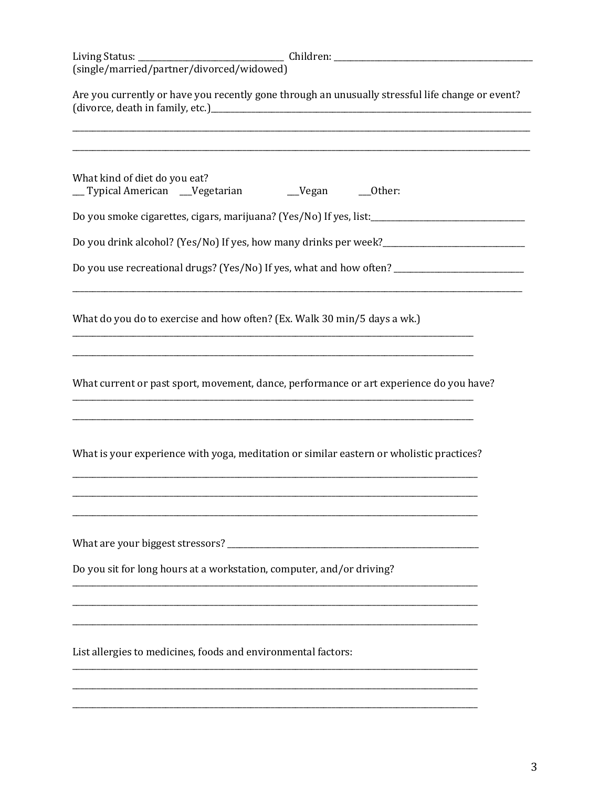| Are you currently or have you recently gone through an unusually stressful life change or event?    |  |  |  |  |
|-----------------------------------------------------------------------------------------------------|--|--|--|--|
| What kind of diet do you eat?<br>__Typical American __Vegetarian ___Vegan ___Other:                 |  |  |  |  |
| Do you smoke cigarettes, cigars, marijuana? (Yes/No) If yes, list:_________________________________ |  |  |  |  |
| Do you drink alcohol? (Yes/No) If yes, how many drinks per week?_______________________             |  |  |  |  |
| Do you use recreational drugs? (Yes/No) If yes, what and how often? _______________________________ |  |  |  |  |
| What do you do to exercise and how often? (Ex. Walk 30 min/5 days a wk.)                            |  |  |  |  |
| What current or past sport, movement, dance, performance or art experience do you have?             |  |  |  |  |
| What is your experience with yoga, meditation or similar eastern or wholistic practices?            |  |  |  |  |
|                                                                                                     |  |  |  |  |
| Do you sit for long hours at a workstation, computer, and/or driving?                               |  |  |  |  |
| List allergies to medicines, foods and environmental factors:                                       |  |  |  |  |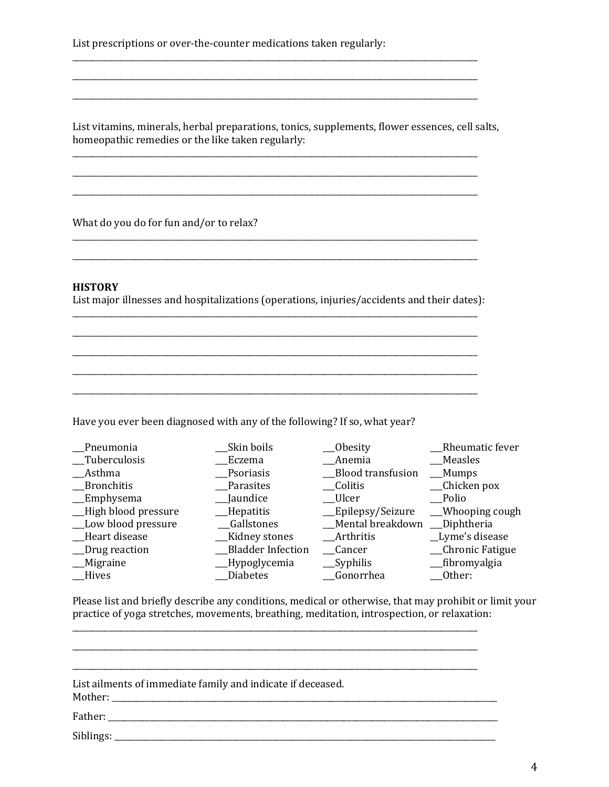List prescriptions or over-the-counter medications taken regularly:

List vitamins, minerals, herbal preparations, tonics, supplements, flower essences, cell salts, homeopathic remedies or the like taken regularly:

\_\_\_\_\_\_\_\_\_\_\_\_\_\_\_\_\_\_\_\_\_\_\_\_\_\_\_\_\_\_\_\_\_\_\_\_\_\_\_\_\_\_\_\_\_\_\_\_\_\_\_\_\_\_\_\_\_\_\_\_\_\_\_\_\_\_\_\_\_\_\_\_\_\_\_\_\_\_\_\_\_\_\_\_\_\_\_\_\_\_\_\_\_\_\_\_\_\_\_\_

\_\_\_\_\_\_\_\_\_\_\_\_\_\_\_\_\_\_\_\_\_\_\_\_\_\_\_\_\_\_\_\_\_\_\_\_\_\_\_\_\_\_\_\_\_\_\_\_\_\_\_\_\_\_\_\_\_\_\_\_\_\_\_\_\_\_\_\_\_\_\_\_\_\_\_\_\_\_\_\_\_\_\_\_\_\_\_\_\_\_\_\_\_\_\_\_\_\_\_\_

\_\_\_\_\_\_\_\_\_\_\_\_\_\_\_\_\_\_\_\_\_\_\_\_\_\_\_\_\_\_\_\_\_\_\_\_\_\_\_\_\_\_\_\_\_\_\_\_\_\_\_\_\_\_\_\_\_\_\_\_\_\_\_\_\_\_\_\_\_\_\_\_\_\_\_\_\_\_\_\_\_\_\_\_\_\_\_\_\_\_\_\_\_\_\_\_\_\_\_\_

\_\_\_\_\_\_\_\_\_\_\_\_\_\_\_\_\_\_\_\_\_\_\_\_\_\_\_\_\_\_\_\_\_\_\_\_\_\_\_\_\_\_\_\_\_\_\_\_\_\_\_\_\_\_\_\_\_\_\_\_\_\_\_\_\_\_\_\_\_\_\_\_\_\_\_\_\_\_\_\_\_\_\_\_\_\_\_\_\_\_\_\_\_\_\_\_\_\_\_\_

\_\_\_\_\_\_\_\_\_\_\_\_\_\_\_\_\_\_\_\_\_\_\_\_\_\_\_\_\_\_\_\_\_\_\_\_\_\_\_\_\_\_\_\_\_\_\_\_\_\_\_\_\_\_\_\_\_\_\_\_\_\_\_\_\_\_\_\_\_\_\_\_\_\_\_\_\_\_\_\_\_\_\_\_\_\_\_\_\_\_\_\_\_\_\_\_\_\_\_\_

What do you do for fun and/or to relax?

#### **HISTORY**

List major illnesses and hospitalizations (operations, injuries/accidents and their dates): \_\_\_\_\_\_\_\_\_\_\_\_\_\_\_\_\_\_\_\_\_\_\_\_\_\_\_\_\_\_\_\_\_\_\_\_\_\_\_\_\_\_\_\_\_\_\_\_\_\_\_\_\_\_\_\_\_\_\_\_\_\_\_\_\_\_\_\_\_\_\_\_\_\_\_\_\_\_\_\_\_\_\_\_\_\_\_\_\_\_\_\_\_\_\_\_\_\_\_\_

\_\_\_\_\_\_\_\_\_\_\_\_\_\_\_\_\_\_\_\_\_\_\_\_\_\_\_\_\_\_\_\_\_\_\_\_\_\_\_\_\_\_\_\_\_\_\_\_\_\_\_\_\_\_\_\_\_\_\_\_\_\_\_\_\_\_\_\_\_\_\_\_\_\_\_\_\_\_\_\_\_\_\_\_\_\_\_\_\_\_\_\_\_\_\_\_\_\_\_\_

\_\_\_\_\_\_\_\_\_\_\_\_\_\_\_\_\_\_\_\_\_\_\_\_\_\_\_\_\_\_\_\_\_\_\_\_\_\_\_\_\_\_\_\_\_\_\_\_\_\_\_\_\_\_\_\_\_\_\_\_\_\_\_\_\_\_\_\_\_\_\_\_\_\_\_\_\_\_\_\_\_\_\_\_\_\_\_\_\_\_\_\_\_\_\_\_\_\_\_\_

\_\_\_\_\_\_\_\_\_\_\_\_\_\_\_\_\_\_\_\_\_\_\_\_\_\_\_\_\_\_\_\_\_\_\_\_\_\_\_\_\_\_\_\_\_\_\_\_\_\_\_\_\_\_\_\_\_\_\_\_\_\_\_\_\_\_\_\_\_\_\_\_\_\_\_\_\_\_\_\_\_\_\_\_\_\_\_\_\_\_\_\_\_\_\_\_\_\_\_\_

\_\_\_\_\_\_\_\_\_\_\_\_\_\_\_\_\_\_\_\_\_\_\_\_\_\_\_\_\_\_\_\_\_\_\_\_\_\_\_\_\_\_\_\_\_\_\_\_\_\_\_\_\_\_\_\_\_\_\_\_\_\_\_\_\_\_\_\_\_\_\_\_\_\_\_\_\_\_\_\_\_\_\_\_\_\_\_\_\_\_\_\_\_\_\_\_\_\_\_\_

Have you ever been diagnosed with any of the following? If so, what year?

| Pneumonia            | Skin boils               | Obesity           | Rheumatic fever  |
|----------------------|--------------------------|-------------------|------------------|
| _Tuberculosis        | Eczema                   | Anemia            | Measles          |
| Asthma               | Psoriasis                | Blood transfusion | Mumps            |
| _Bronchitis          | Parasites                | Colitis           | _Chicken pox     |
| $\equiv$ Emphysema   | __Jaundice               | __Ulcer           | Polio            |
| _High blood pressure | _Hepatitis               | _Epilepsy/Seizure | __Whooping cough |
| _Low blood pressure  | <b>Gallstones</b>        | Mental breakdown  | Diphtheria       |
| _Heart disease       | __Kidney stones          | <b>Arthritis</b>  | _Lyme's disease  |
| _Drug reaction       | <b>Bladder Infection</b> | <b>Cancer</b>     | _Chronic Fatigue |
| _Migraine            | _Hypoglycemia            | $\_\$ Syphilis    | __fibromyalgia   |
| <b>Hives</b>         | Diabetes                 | <b>Gonorrhea</b>  | Other:           |

Please list and briefly describe any conditions, medical or otherwise, that may prohibit or limit your practice of yoga stretches, movements, breathing, meditation, introspection, or relaxation:

| List ailments of immediate family and indicate if deceased. |
|-------------------------------------------------------------|
|                                                             |
|                                                             |

\_\_\_\_\_\_\_\_\_\_\_\_\_\_\_\_\_\_\_\_\_\_\_\_\_\_\_\_\_\_\_\_\_\_\_\_\_\_\_\_\_\_\_\_\_\_\_\_\_\_\_\_\_\_\_\_\_\_\_\_\_\_\_\_\_\_\_\_\_\_\_\_\_\_\_\_\_\_\_\_\_\_\_\_\_\_\_\_\_\_\_\_\_\_\_\_\_\_\_\_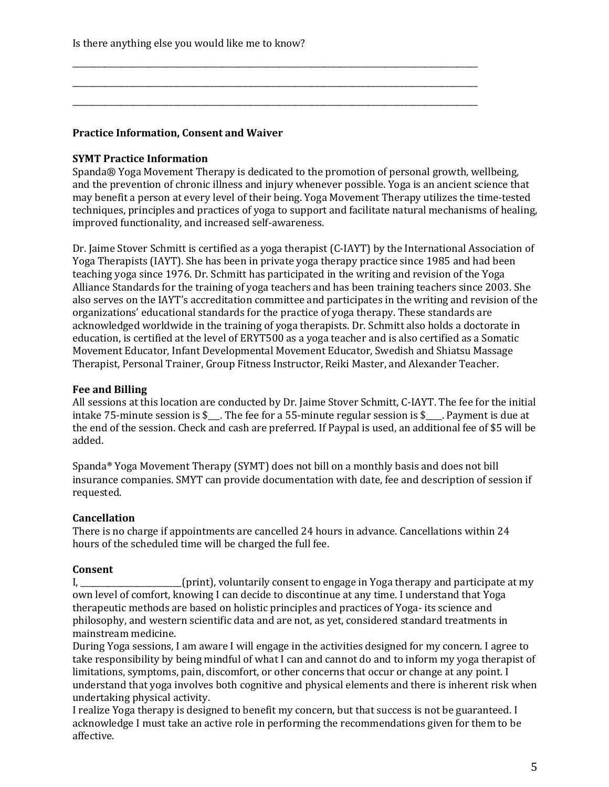Is there anything else you would like me to know?

# **Practice Information, Consent and Waiver**

### **SYMT Practice Information**

Spanda® Yoga Movement Therapy is dedicated to the promotion of personal growth, wellbeing, and the prevention of chronic illness and injury whenever possible. Yoga is an ancient science that may benefit a person at every level of their being. Yoga Movement Therapy utilizes the time-tested techniques, principles and practices of yoga to support and facilitate natural mechanisms of healing, improved functionality, and increased self-awareness.

\_\_\_\_\_\_\_\_\_\_\_\_\_\_\_\_\_\_\_\_\_\_\_\_\_\_\_\_\_\_\_\_\_\_\_\_\_\_\_\_\_\_\_\_\_\_\_\_\_\_\_\_\_\_\_\_\_\_\_\_\_\_\_\_\_\_\_\_\_\_\_\_\_\_\_\_\_\_\_\_\_\_\_\_\_\_\_\_\_\_\_\_\_\_\_\_\_\_\_\_ \_\_\_\_\_\_\_\_\_\_\_\_\_\_\_\_\_\_\_\_\_\_\_\_\_\_\_\_\_\_\_\_\_\_\_\_\_\_\_\_\_\_\_\_\_\_\_\_\_\_\_\_\_\_\_\_\_\_\_\_\_\_\_\_\_\_\_\_\_\_\_\_\_\_\_\_\_\_\_\_\_\_\_\_\_\_\_\_\_\_\_\_\_\_\_\_\_\_\_\_ \_\_\_\_\_\_\_\_\_\_\_\_\_\_\_\_\_\_\_\_\_\_\_\_\_\_\_\_\_\_\_\_\_\_\_\_\_\_\_\_\_\_\_\_\_\_\_\_\_\_\_\_\_\_\_\_\_\_\_\_\_\_\_\_\_\_\_\_\_\_\_\_\_\_\_\_\_\_\_\_\_\_\_\_\_\_\_\_\_\_\_\_\_\_\_\_\_\_\_\_

Dr. Jaime Stover Schmitt is certified as a yoga therapist  $(C-IAYT)$  by the International Association of Yoga Therapists (IAYT). She has been in private yoga therapy practice since 1985 and had been teaching yoga since 1976. Dr. Schmitt has participated in the writing and revision of the Yoga Alliance Standards for the training of yoga teachers and has been training teachers since 2003. She also serves on the IAYT's accreditation committee and participates in the writing and revision of the organizations' educational standards for the practice of yoga therapy. These standards are acknowledged worldwide in the training of yoga therapists. Dr. Schmitt also holds a doctorate in education, is certified at the level of ERYT500 as a yoga teacher and is also certified as a Somatic Movement Educator, Infant Developmental Movement Educator, Swedish and Shiatsu Massage Therapist, Personal Trainer, Group Fitness Instructor, Reiki Master, and Alexander Teacher.

### **Fee and Billing**

All sessions at this location are conducted by Dr. Jaime Stover Schmitt, C-IAYT. The fee for the initial intake  $75$ -minute session is  $\frac{1}{2}$ . The fee for a 55-minute regular session is  $\frac{1}{2}$ . Payment is due at the end of the session. Check and cash are preferred. If Paypal is used, an additional fee of \$5 will be added. 

Spanda® Yoga Movement Therapy (SYMT) does not bill on a monthly basis and does not bill insurance companies. SMYT can provide documentation with date, fee and description of session if requested.

#### **Cancellation**

There is no charge if appointments are cancelled 24 hours in advance. Cancellations within 24 hours of the scheduled time will be charged the full fee.

#### **Consent**

I, Solution (print), voluntarily consent to engage in Yoga therapy and participate at my own level of comfort, knowing I can decide to discontinue at any time. I understand that Yoga therapeutic methods are based on holistic principles and practices of Yoga- its science and philosophy, and western scientific data and are not, as yet, considered standard treatments in mainstream medicine.

During Yoga sessions, I am aware I will engage in the activities designed for my concern. I agree to take responsibility by being mindful of what I can and cannot do and to inform my yoga therapist of limitations, symptoms, pain, discomfort, or other concerns that occur or change at any point. I understand that yoga involves both cognitive and physical elements and there is inherent risk when undertaking physical activity.

I realize Yoga therapy is designed to benefit my concern, but that success is not be guaranteed. I acknowledge I must take an active role in performing the recommendations given for them to be affective.